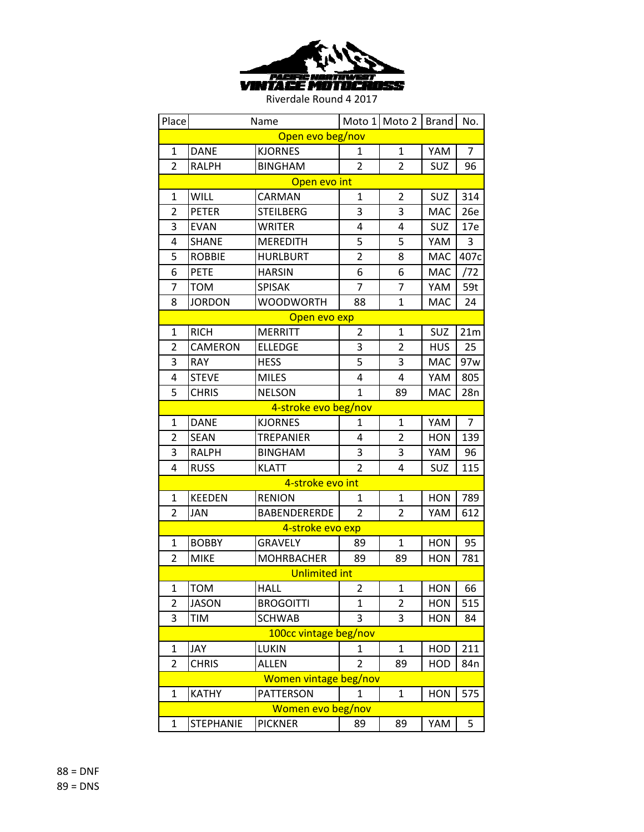

| Place                 |                  | Name                 |                | Moto 1 Moto 2  | <b>Brand</b> | No.            |  |  |
|-----------------------|------------------|----------------------|----------------|----------------|--------------|----------------|--|--|
| Open evo beg/nov      |                  |                      |                |                |              |                |  |  |
| 1                     | <b>DANE</b>      | <b>KJORNES</b>       | 1              | 1              | YAM          | $\overline{7}$ |  |  |
| $\overline{2}$        | <b>RALPH</b>     | <b>BINGHAM</b>       | $\overline{2}$ | $\overline{2}$ | <b>SUZ</b>   | 96             |  |  |
| Open evo int          |                  |                      |                |                |              |                |  |  |
| 1                     | <b>WILL</b>      | CARMAN               | $\mathbf{1}$   | 2              | <b>SUZ</b>   | 314            |  |  |
| $\overline{2}$        | <b>PETER</b>     | <b>STEILBERG</b>     | 3              | 3              | <b>MAC</b>   | 26e            |  |  |
| 3                     | <b>EVAN</b>      | <b>WRITER</b>        | 4              | 4              | <b>SUZ</b>   | 17e            |  |  |
| 4                     | <b>SHANE</b>     | <b>MEREDITH</b>      | 5              | 5              | YAM          | 3              |  |  |
| 5                     | <b>ROBBIE</b>    | <b>HURLBURT</b>      | $\overline{2}$ | 8              | <b>MAC</b>   | 407c           |  |  |
| 6                     | <b>PETE</b>      | <b>HARSIN</b>        | 6              | 6              | <b>MAC</b>   | /72            |  |  |
| 7                     | <b>TOM</b>       | <b>SPISAK</b>        | 7              | 7              | YAM          | 59t            |  |  |
| 8                     | <b>JORDON</b>    | <b>WOODWORTH</b>     | 88             | $\mathbf{1}$   | <b>MAC</b>   | 24             |  |  |
|                       |                  | Open evo exp         |                |                |              |                |  |  |
| 1                     | <b>RICH</b>      | <b>MERRITT</b>       | $\overline{2}$ | $\mathbf{1}$   | <b>SUZ</b>   | 21m            |  |  |
| 2                     | <b>CAMERON</b>   | <b>ELLEDGE</b>       | 3              | $\overline{2}$ | <b>HUS</b>   | 25             |  |  |
| 3                     | <b>RAY</b>       | <b>HESS</b>          | 5              | 3              | MAC          | 97w            |  |  |
| 4                     | <b>STEVE</b>     | <b>MILES</b>         | 4              | 4              | YAM          | 805            |  |  |
| 5                     | <b>CHRIS</b>     | <b>NELSON</b>        | $\mathbf{1}$   | 89             | <b>MAC</b>   | 28n            |  |  |
|                       |                  | 4-stroke evo beg/nov |                |                |              |                |  |  |
| $\mathbf{1}$          | <b>DANE</b>      | <b>KJORNES</b>       | 1              | $\mathbf{1}$   | YAM          | $\overline{7}$ |  |  |
| $\overline{2}$        | <b>SEAN</b>      | <b>TREPANIER</b>     | 4              | $\overline{2}$ | <b>HON</b>   | 139            |  |  |
| 3                     | <b>RALPH</b>     | <b>BINGHAM</b>       | 3              | 3              | YAM          | 96             |  |  |
| 4                     | <b>RUSS</b>      | <b>KLATT</b>         | $\overline{2}$ | 4              | SUZ          | 115            |  |  |
|                       |                  | 4-stroke evo int     |                |                |              |                |  |  |
| $\mathbf{1}$          | <b>KEEDEN</b>    | <b>RENION</b>        | 1              | $\mathbf{1}$   | <b>HON</b>   | 789            |  |  |
| $\overline{2}$        | JAN              | <b>BABENDERERDE</b>  | $\overline{2}$ | 2              | YAM          | 612            |  |  |
|                       |                  | 4-stroke evo exp     |                |                |              |                |  |  |
| 1                     | <b>BOBBY</b>     | <b>GRAVELY</b>       | 89             | $\mathbf{1}$   | <b>HON</b>   | 95             |  |  |
| 2                     | <b>MIKE</b>      | <b>MOHRBACHER</b>    | 89             | 89             | <b>HON</b>   | 781            |  |  |
|                       |                  | <b>Unlimited int</b> |                |                |              |                |  |  |
| 1                     | том              | HALL                 | 2              | 1              | HON          | 66             |  |  |
| $\overline{2}$        | <b>JASON</b>     | <b>BROGOITTI</b>     | 1              | $\overline{2}$ | <b>HON</b>   | 515            |  |  |
| 3                     | <b>TIM</b>       | <b>SCHWAB</b>        | 3              | 3              | <b>HON</b>   | 84             |  |  |
| 100cc vintage beg/nov |                  |                      |                |                |              |                |  |  |
| 1                     | JAY              | LUKIN                | 1              | 1              | HOD          | 211            |  |  |
| $\overline{2}$        | <b>CHRIS</b>     | <b>ALLEN</b>         | 2              | 89             | HOD          | 84n            |  |  |
| Women vintage beg/nov |                  |                      |                |                |              |                |  |  |
| 1                     | <b>KATHY</b>     | <b>PATTERSON</b>     | 1              | 1              | <b>HON</b>   | 575            |  |  |
| Women evo beg/nov     |                  |                      |                |                |              |                |  |  |
| 1                     | <b>STEPHANIE</b> | <b>PICKNER</b>       | 89             | 89             | YAM          | 5              |  |  |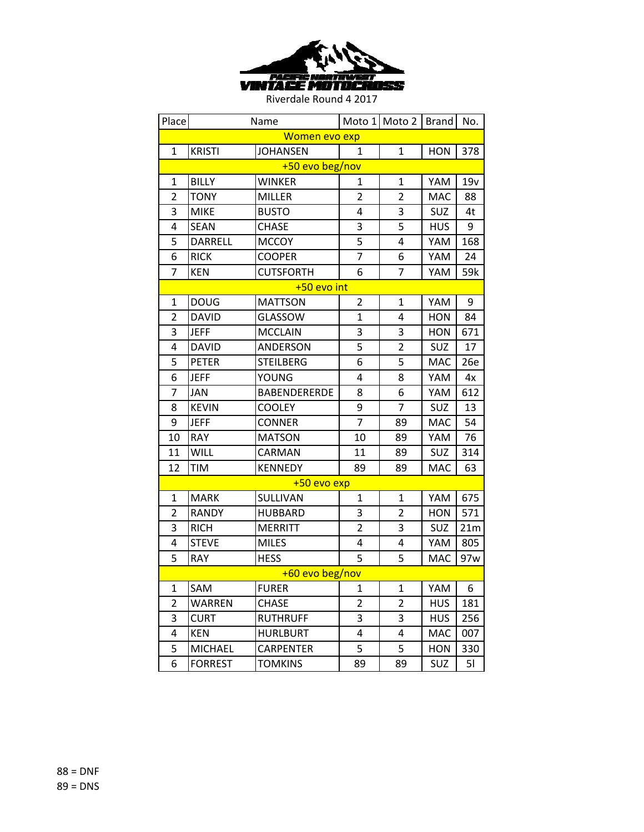

| Place           |                 | Name                |                | Moto 1 Moto 2   Brand |            | No. |  |  |
|-----------------|-----------------|---------------------|----------------|-----------------------|------------|-----|--|--|
| Women evo exp   |                 |                     |                |                       |            |     |  |  |
| $\mathbf{1}$    | <b>KRISTI</b>   | <b>JOHANSEN</b>     | $\mathbf{1}$   | $\mathbf{1}$          | <b>HON</b> | 378 |  |  |
|                 | +50 evo beg/nov |                     |                |                       |            |     |  |  |
| $\mathbf{1}$    | <b>BILLY</b>    | <b>WINKER</b>       | 1              | $\mathbf{1}$          | YAM        | 19v |  |  |
| $\overline{2}$  | <b>TONY</b>     | <b>MILLER</b>       | $\overline{2}$ | $\overline{2}$        | <b>MAC</b> | 88  |  |  |
| 3               | <b>MIKE</b>     | <b>BUSTO</b>        | 4              | 3                     | SUZ        | 4t  |  |  |
| 4               | <b>SEAN</b>     | <b>CHASE</b>        | 3              | 5                     | <b>HUS</b> | 9   |  |  |
| 5               | <b>DARRELL</b>  | <b>MCCOY</b>        | 5              | 4                     | YAM        | 168 |  |  |
| 6               | <b>RICK</b>     | <b>COOPER</b>       | $\overline{7}$ | 6                     | YAM        | 24  |  |  |
| $\overline{7}$  | <b>KEN</b>      | <b>CUTSFORTH</b>    | 6              | 7                     | YAM        | 59k |  |  |
|                 |                 | +50 evo int         |                |                       |            |     |  |  |
| $\mathbf{1}$    | <b>DOUG</b>     | <b>MATTSON</b>      | $\overline{2}$ | $\mathbf{1}$          | YAM        | 9   |  |  |
| $\overline{2}$  | <b>DAVID</b>    | <b>GLASSOW</b>      | $\mathbf{1}$   | 4                     | <b>HON</b> | 84  |  |  |
| 3               | <b>JEFF</b>     | <b>MCCLAIN</b>      | 3              | 3                     | <b>HON</b> | 671 |  |  |
| $\overline{4}$  | <b>DAVID</b>    | <b>ANDERSON</b>     | 5              | $\overline{2}$        | <b>SUZ</b> | 17  |  |  |
| 5               | <b>PETER</b>    | <b>STEILBERG</b>    | 6              | 5                     | <b>MAC</b> | 26e |  |  |
| 6               | <b>JEFF</b>     | YOUNG               | 4              | 8                     | YAM        | 4x  |  |  |
| $\overline{7}$  | <b>JAN</b>      | <b>BABENDERERDE</b> | 8              | 6                     | YAM        | 612 |  |  |
| 8               | <b>KEVIN</b>    | <b>COOLEY</b>       | 9              | $\overline{7}$        | SUZ        | 13  |  |  |
| 9               | <b>JEFF</b>     | <b>CONNER</b>       | $\overline{7}$ | 89                    | <b>MAC</b> | 54  |  |  |
| 10              | <b>RAY</b>      | <b>MATSON</b>       | 10             | 89                    | YAM        | 76  |  |  |
| 11              | <b>WILL</b>     | CARMAN              | 11             | 89                    | <b>SUZ</b> | 314 |  |  |
| 12              | TIM             | <b>KENNEDY</b>      | 89             | 89                    | MAC        | 63  |  |  |
|                 |                 | +50 evo exp         |                |                       |            |     |  |  |
| $\mathbf{1}$    | <b>MARK</b>     | SULLIVAN            | $\mathbf{1}$   | $\mathbf{1}$          | YAM        | 675 |  |  |
| $\overline{2}$  | <b>RANDY</b>    | <b>HUBBARD</b>      | 3              | $\overline{2}$        | <b>HON</b> | 571 |  |  |
| 3               | <b>RICH</b>     | <b>MERRITT</b>      | $\overline{2}$ | 3                     | SUZ        | 21m |  |  |
| 4               | <b>STEVE</b>    | <b>MILES</b>        | 4              | 4                     | YAM        | 805 |  |  |
| 5               | RAY             | <b>HESS</b>         | 5              | 5                     | <b>MAC</b> | 97w |  |  |
| +60 evo beg/nov |                 |                     |                |                       |            |     |  |  |
| 1               | SAM             | <b>FURER</b>        | 1              | 1                     | YAM        | 6   |  |  |
| $\overline{2}$  | WARREN          | <b>CHASE</b>        | $\overline{2}$ | $\overline{2}$        | <b>HUS</b> | 181 |  |  |
| 3               | CURT            | <b>RUTHRUFF</b>     | 3              | 3                     | <b>HUS</b> | 256 |  |  |
| 4               | KEN             | <b>HURLBURT</b>     | 4              | 4                     | <b>MAC</b> | 007 |  |  |
| 5               | <b>MICHAEL</b>  | <b>CARPENTER</b>    | 5              | 5                     | <b>HON</b> | 330 |  |  |
| 6               | <b>FORREST</b>  | <b>TOMKINS</b>      | 89             | 89                    | SUZ        | 51  |  |  |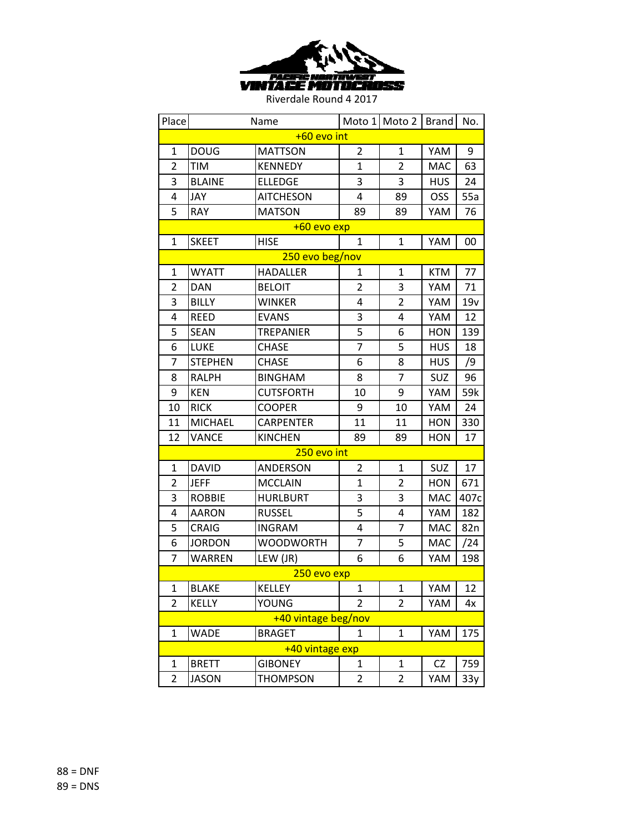

| Place               |                | Name             |                | Moto 1 Moto 2  | <b>Brand</b> | No.  |  |
|---------------------|----------------|------------------|----------------|----------------|--------------|------|--|
| +60 evo int         |                |                  |                |                |              |      |  |
| $\mathbf{1}$        | <b>DOUG</b>    | <b>MATTSON</b>   | $\overline{2}$ | $\mathbf{1}$   | YAM          | 9    |  |
| $\overline{2}$      | TIM            | <b>KENNEDY</b>   | 1              | $\overline{2}$ | <b>MAC</b>   | 63   |  |
| 3                   | <b>BLAINE</b>  | <b>ELLEDGE</b>   | 3              | 3              | <b>HUS</b>   | 24   |  |
| 4                   | JAY            | <b>AITCHESON</b> | 4              | 89             | OSS          | 55a  |  |
| 5                   | <b>RAY</b>     | <b>MATSON</b>    | 89             | 89             | YAM          | 76   |  |
|                     |                | +60 evo exp      |                |                |              |      |  |
| $\mathbf{1}$        | <b>SKEET</b>   | <b>HISE</b>      | $\mathbf{1}$   | $\mathbf{1}$   | YAM          | 00   |  |
|                     |                | 250 evo beg/nov  |                |                |              |      |  |
| $\mathbf{1}$        | <b>WYATT</b>   | <b>HADALLER</b>  | 1              | $\mathbf{1}$   | <b>KTM</b>   | 77   |  |
| $\overline{2}$      | <b>DAN</b>     | <b>BELOIT</b>    | $\overline{2}$ | 3              | YAM          | 71   |  |
| 3                   | <b>BILLY</b>   | <b>WINKER</b>    | 4              | $\overline{2}$ | YAM          | 19v  |  |
| 4                   | <b>REED</b>    | <b>EVANS</b>     | 3              | 4              | YAM          | 12   |  |
| 5                   | <b>SEAN</b>    | <b>TREPANIER</b> | 5              | 6              | <b>HON</b>   | 139  |  |
| 6                   | LUKE           | <b>CHASE</b>     | $\overline{7}$ | 5              | <b>HUS</b>   | 18   |  |
| 7                   | <b>STEPHEN</b> | <b>CHASE</b>     | 6              | 8              | <b>HUS</b>   | /9   |  |
| 8                   | <b>RALPH</b>   | <b>BINGHAM</b>   | 8              | 7              | <b>SUZ</b>   | 96   |  |
| 9                   | <b>KEN</b>     | <b>CUTSFORTH</b> | 10             | 9              | YAM          | 59k  |  |
| 10                  | <b>RICK</b>    | <b>COOPER</b>    | 9              | 10             | YAM          | 24   |  |
| 11                  | <b>MICHAEL</b> | <b>CARPENTER</b> | 11             | 11             | <b>HON</b>   | 330  |  |
| 12                  | VANCE          | <b>KINCHEN</b>   | 89             | 89             | <b>HON</b>   | 17   |  |
|                     |                | 250 evo int      |                |                |              |      |  |
| 1                   | <b>DAVID</b>   | <b>ANDERSON</b>  | 2              | $\mathbf{1}$   | SUZ          | 17   |  |
| $\overline{2}$      | <b>JEFF</b>    | <b>MCCLAIN</b>   | $\overline{1}$ | $\overline{2}$ | <b>HON</b>   | 671  |  |
| 3                   | <b>ROBBIE</b>  | <b>HURLBURT</b>  | 3              | 3              | <b>MAC</b>   | 407c |  |
| 4                   | <b>AARON</b>   | <b>RUSSEL</b>    | 5              | 4              | YAM          | 182  |  |
| 5                   | <b>CRAIG</b>   | <b>INGRAM</b>    | 4              | $\overline{7}$ | MAC          | 82n  |  |
| 6                   | <b>JORDON</b>  | <b>WOODWORTH</b> | $\overline{7}$ | 5              | <b>MAC</b>   | /24  |  |
| $\overline{7}$      | <b>WARREN</b>  | LEW (JR)         | 6              | 6              | YAM          | 198  |  |
| 250 evo exp         |                |                  |                |                |              |      |  |
| 1                   | <b>BLAKE</b>   | <b>KELLEY</b>    | 1              | 1              | YAM          | 12   |  |
| $\overline{2}$      | <b>KELLY</b>   | YOUNG            | $\overline{2}$ | $\overline{2}$ | YAM          | 4x   |  |
| +40 vintage beg/nov |                |                  |                |                |              |      |  |
| $\mathbf{1}$        | <b>WADE</b>    | <b>BRAGET</b>    | 1              | $\mathbf{1}$   | YAM          | 175  |  |
| +40 vintage exp     |                |                  |                |                |              |      |  |
| 1                   | <b>BRETT</b>   | <b>GIBONEY</b>   | 1              | 1              | CZ           | 759  |  |
| $\overline{2}$      | <b>JASON</b>   | <b>THOMPSON</b>  | $\overline{2}$ | $\overline{2}$ | YAM          | 33y  |  |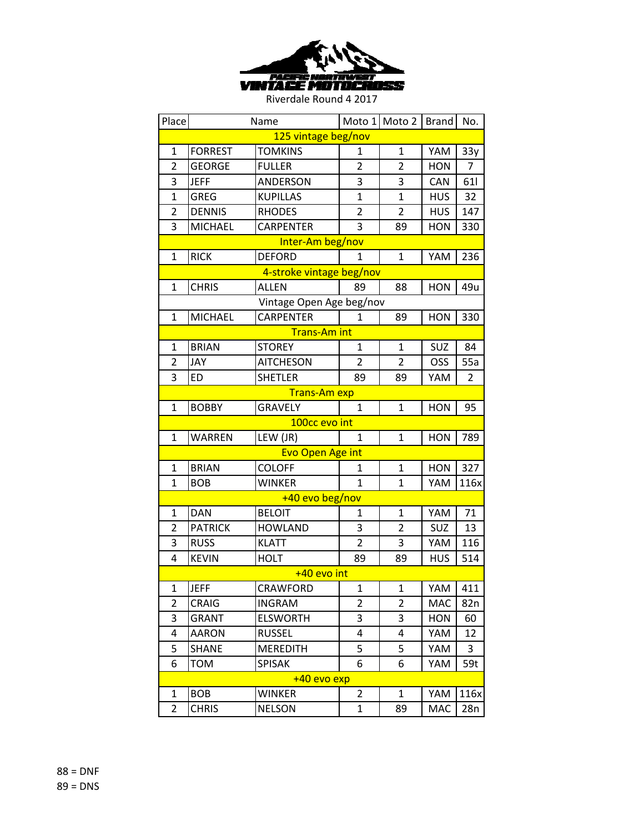

| Place               |                     | Name                     |                | Moto 1 Moto 2  | <b>Brand</b> | No.            |  |  |
|---------------------|---------------------|--------------------------|----------------|----------------|--------------|----------------|--|--|
| 125 vintage beg/nov |                     |                          |                |                |              |                |  |  |
| $\mathbf{1}$        | <b>FORREST</b>      | <b>TOMKINS</b>           | 1              | $\mathbf{1}$   | YAM          | 33y            |  |  |
| $\overline{2}$      | GEORGE              | <b>FULLER</b>            | $\overline{2}$ | $\overline{2}$ | <b>HON</b>   | 7              |  |  |
| 3                   | <b>JEFF</b>         | ANDERSON                 | 3              | 3              | CAN          | 61             |  |  |
| $\mathbf{1}$        | <b>GREG</b>         | <b>KUPILLAS</b>          | $\mathbf{1}$   | $\mathbf{1}$   | <b>HUS</b>   | 32             |  |  |
| $\overline{2}$      | <b>DENNIS</b>       | <b>RHODES</b>            | 2              | $\overline{2}$ | <b>HUS</b>   | 147            |  |  |
| 3                   | <b>MICHAEL</b>      | <b>CARPENTER</b>         | 3              | 89             | <b>HON</b>   | 330            |  |  |
|                     |                     | Inter-Am beg/nov         |                |                |              |                |  |  |
| $\mathbf{1}$        | <b>RICK</b>         | <b>DEFORD</b>            | $\mathbf{1}$   | $\mathbf{1}$   | YAM          | 236            |  |  |
|                     |                     | 4-stroke vintage beg/nov |                |                |              |                |  |  |
| $\mathbf{1}$        | <b>CHRIS</b>        | <b>ALLEN</b>             | 89             | 88             | <b>HON</b>   | 49u            |  |  |
|                     |                     | Vintage Open Age beg/nov |                |                |              |                |  |  |
| $\mathbf{1}$        | <b>MICHAEL</b>      | <b>CARPENTER</b>         | 1              | 89             | <b>HON</b>   | 330            |  |  |
|                     |                     | <b>Trans-Am int</b>      |                |                |              |                |  |  |
| $\mathbf{1}$        | <b>BRIAN</b>        | <b>STOREY</b>            | $\mathbf{1}$   | $\mathbf{1}$   | SUZ          | 84             |  |  |
| 2                   | JAY                 | <b>AITCHESON</b>         | $\overline{2}$ | 2              | <b>OSS</b>   | 55a            |  |  |
| 3                   | <b>ED</b>           | <b>SHETLER</b>           | 89             | 89             | YAM          | $\overline{2}$ |  |  |
|                     | <b>Trans-Am exp</b> |                          |                |                |              |                |  |  |
| $\mathbf{1}$        | <b>BOBBY</b>        | <b>GRAVELY</b>           | $\mathbf{1}$   | $\mathbf{1}$   | <b>HON</b>   | 95             |  |  |
|                     |                     | 100cc evo int            |                |                |              |                |  |  |
| $\mathbf{1}$        | <b>WARREN</b>       | LEW (JR)                 | 1              | $\mathbf{1}$   | <b>HON</b>   | 789            |  |  |
|                     |                     | <b>Evo Open Age int</b>  |                |                |              |                |  |  |
| $\mathbf{1}$        | <b>BRIAN</b>        | <b>COLOFF</b>            | 1              | $\mathbf{1}$   | <b>HON</b>   | 327            |  |  |
| $\mathbf{1}$        | <b>BOB</b>          | <b>WINKER</b>            | $\mathbf{1}$   | $\mathbf{1}$   | YAM          | 116x           |  |  |
|                     |                     | +40 evo beg/nov          |                |                |              |                |  |  |
| 1                   | <b>DAN</b>          | <b>BELOIT</b>            | 1              | 1              | YAM          | 71             |  |  |
| $\overline{2}$      | <b>PATRICK</b>      | <b>HOWLAND</b>           | 3              | $\overline{2}$ | SUZ          | 13             |  |  |
| 3                   | <b>RUSS</b>         | <b>KLATT</b>             | $\overline{2}$ | 3              | YAM          | 116            |  |  |
| 4                   | <b>KEVIN</b>        | <b>HOLT</b>              | 89             | 89             | <b>HUS</b>   | 514            |  |  |
|                     | +40 evo int         |                          |                |                |              |                |  |  |
| 1                   | JEFF                | CRAWFORD                 | 1              | 1              | YAM          | 411            |  |  |
| $\overline{2}$      | CRAIG               | <b>INGRAM</b>            | $\overline{2}$ | $\overline{2}$ | <b>MAC</b>   | 82n            |  |  |
| 3                   | GRANT               | <b>ELSWORTH</b>          | 3              | 3              | <b>HON</b>   | 60             |  |  |
| 4                   | AARON               | <b>RUSSEL</b>            | 4              | 4              | YAM          | 12             |  |  |
| 5                   | SHANE               | <b>MEREDITH</b>          | 5              | 5              | YAM          | 3              |  |  |
| 6                   | TOM                 | <b>SPISAK</b>            | 6              | 6              | YAM          | 59t            |  |  |
| +40 evo exp         |                     |                          |                |                |              |                |  |  |
| $\mathbf{1}$        | <b>BOB</b>          | <b>WINKER</b>            | $\overline{2}$ | $\mathbf{1}$   | YAM          | 116x           |  |  |
| $\overline{2}$      | <b>CHRIS</b>        | <b>NELSON</b>            | 1              | 89             | <b>MAC</b>   | 28n            |  |  |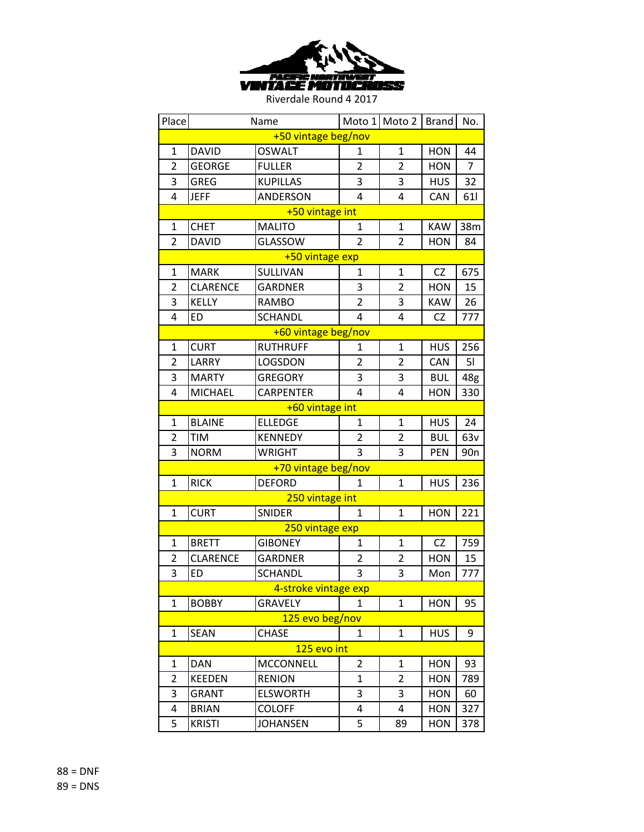

| Place               |                 | Name                 |                | Moto 1 Moto 2  | <b>Brand</b> | No.             |  |  |  |
|---------------------|-----------------|----------------------|----------------|----------------|--------------|-----------------|--|--|--|
| +50 vintage beg/nov |                 |                      |                |                |              |                 |  |  |  |
| $\mathbf{1}$        | <b>DAVID</b>    | <b>OSWALT</b>        | $\mathbf{1}$   | $\mathbf{1}$   | <b>HON</b>   | 44              |  |  |  |
| $\overline{2}$      | <b>GEORGE</b>   | <b>FULLER</b>        | 2              | $\overline{2}$ | <b>HON</b>   | 7               |  |  |  |
| 3                   | <b>GREG</b>     | <b>KUPILLAS</b>      | 3              | 3              | <b>HUS</b>   | 32              |  |  |  |
| 4                   | <b>JEFF</b>     | ANDERSON             | 4              | 4              | <b>CAN</b>   | 611             |  |  |  |
|                     | +50 vintage int |                      |                |                |              |                 |  |  |  |
| 1                   | <b>CHET</b>     | <b>MALITO</b>        | 1              | $\mathbf{1}$   | <b>KAW</b>   | 38m             |  |  |  |
| $\overline{2}$      | <b>DAVID</b>    | <b>GLASSOW</b>       | $\overline{2}$ | $\overline{2}$ | <b>HON</b>   | 84              |  |  |  |
|                     |                 | +50 vintage exp      |                |                |              |                 |  |  |  |
| 1                   | <b>MARK</b>     | SULLIVAN             | 1              | 1              | <b>CZ</b>    | 675             |  |  |  |
| $\overline{2}$      | <b>CLARENCE</b> | <b>GARDNER</b>       | 3              | 2              | <b>HON</b>   | 15              |  |  |  |
| 3                   | <b>KELLY</b>    | <b>RAMBO</b>         | 2              | 3              | <b>KAW</b>   | 26              |  |  |  |
| 4                   | <b>ED</b>       | <b>SCHANDL</b>       | 4              | 4              | <b>CZ</b>    | 777             |  |  |  |
|                     |                 | +60 vintage beg/nov  |                |                |              |                 |  |  |  |
| $\mathbf{1}$        | <b>CURT</b>     | <b>RUTHRUFF</b>      | 1              | $\mathbf{1}$   | <b>HUS</b>   | 256             |  |  |  |
| $\overline{2}$      | LARRY           | LOGSDON              | $\overline{2}$ | 2              | <b>CAN</b>   | 51              |  |  |  |
| 3                   | <b>MARTY</b>    | <b>GREGORY</b>       | 3              | 3              | <b>BUL</b>   | 48g             |  |  |  |
| 4                   | <b>MICHAEL</b>  | <b>CARPENTER</b>     | 4              | 4              | <b>HON</b>   | 330             |  |  |  |
|                     |                 | +60 vintage int      |                |                |              |                 |  |  |  |
| $\mathbf{1}$        | <b>BLAINE</b>   | <b>ELLEDGE</b>       | $\mathbf{1}$   | $\mathbf{1}$   | <b>HUS</b>   | 24              |  |  |  |
| 2                   | <b>TIM</b>      | <b>KENNEDY</b>       | 2              | 2              | <b>BUL</b>   | 63v             |  |  |  |
| 3                   | <b>NORM</b>     | <b>WRIGHT</b>        | 3              | 3              | PEN          | 90 <sub>n</sub> |  |  |  |
|                     |                 | +70 vintage beg/nov  |                |                |              |                 |  |  |  |
| $\mathbf{1}$        | <b>RICK</b>     | <b>DEFORD</b>        | 1              | $\mathbf{1}$   | <b>HUS</b>   | 236             |  |  |  |
|                     |                 | 250 vintage int      |                |                |              |                 |  |  |  |
| 1                   | <b>CURT</b>     | <b>SNIDER</b>        | 1              | 1              | <b>HON</b>   | 221             |  |  |  |
|                     |                 | 250 vintage exp      |                |                |              |                 |  |  |  |
| $\mathbf 1$         | <b>BRETT</b>    | <b>GIBONEY</b>       | 1              | 1              | <b>CZ</b>    | 759             |  |  |  |
| $\overline{2}$      | <b>CLARENCE</b> | <b>GARDNER</b>       | $\overline{2}$ | $\overline{2}$ | <b>HON</b>   | 15              |  |  |  |
| 3                   | <b>ED</b>       | <b>SCHANDL</b>       | 3              | 3              | Mon          | 777             |  |  |  |
|                     |                 | 4-stroke vintage exp |                |                |              |                 |  |  |  |
| $\mathbf 1$         | <b>BOBBY</b>    | <b>GRAVELY</b>       | 1              | 1              | <b>HON</b>   | 95              |  |  |  |
|                     |                 | 125 evo beg/nov      |                |                |              |                 |  |  |  |
| $\mathbf{1}$        | SEAN            | <b>CHASE</b>         | $\mathbf{1}$   | 1              | <b>HUS</b>   | 9               |  |  |  |
| 125 evo int         |                 |                      |                |                |              |                 |  |  |  |
| 1                   | DAN             | <b>MCCONNELL</b>     | 2              | 1              | <b>HON</b>   | 93              |  |  |  |
| $\overline{2}$      | <b>KEEDEN</b>   | <b>RENION</b>        | $\mathbf{1}$   | 2              | <b>HON</b>   | 789             |  |  |  |
| 3                   | GRANT           | <b>ELSWORTH</b>      | 3              | 3              | <b>HON</b>   | 60              |  |  |  |
| 4                   | <b>BRIAN</b>    | <b>COLOFF</b>        | 4              | 4              | <b>HON</b>   | 327             |  |  |  |
| 5                   | <b>KRISTI</b>   | <b>JOHANSEN</b>      | 5              | 89             | <b>HON</b>   | 378             |  |  |  |